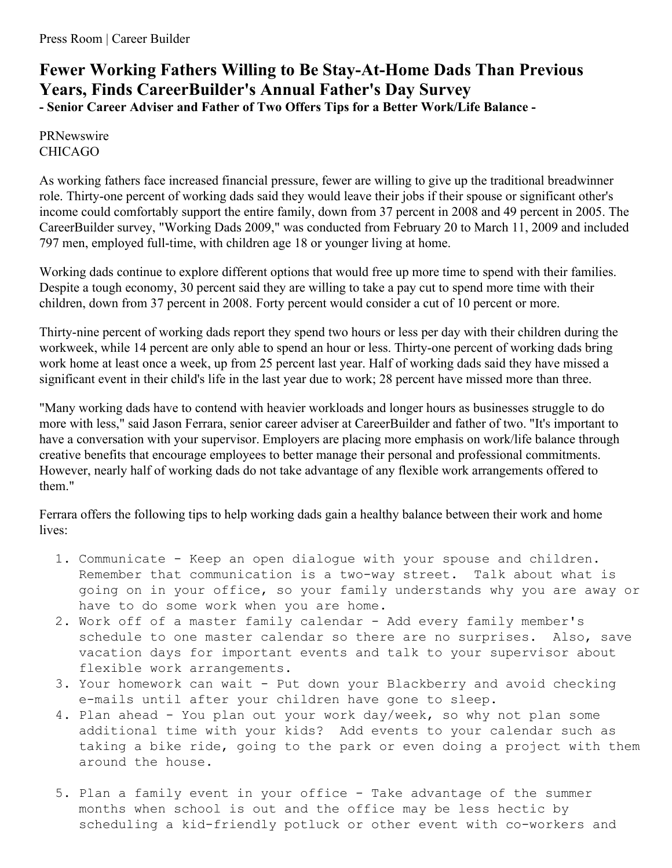## **Fewer Working Fathers Willing to Be Stay-At-Home Dads Than Previous Years, Finds CareerBuilder's Annual Father's Day Survey - Senior Career Adviser and Father of Two Offers Tips for a Better Work/Life Balance -**

PRNewswire CHICAGO

As working fathers face increased financial pressure, fewer are willing to give up the traditional breadwinner role. Thirty-one percent of working dads said they would leave their jobs if their spouse or significant other's income could comfortably support the entire family, down from 37 percent in 2008 and 49 percent in 2005. The CareerBuilder survey, "Working Dads 2009," was conducted from February 20 to March 11, 2009 and included 797 men, employed full-time, with children age 18 or younger living at home.

Working dads continue to explore different options that would free up more time to spend with their families. Despite a tough economy, 30 percent said they are willing to take a pay cut to spend more time with their children, down from 37 percent in 2008. Forty percent would consider a cut of 10 percent or more.

Thirty-nine percent of working dads report they spend two hours or less per day with their children during the workweek, while 14 percent are only able to spend an hour or less. Thirty-one percent of working dads bring work home at least once a week, up from 25 percent last year. Half of working dads said they have missed a significant event in their child's life in the last year due to work; 28 percent have missed more than three.

"Many working dads have to contend with heavier workloads and longer hours as businesses struggle to do more with less," said Jason Ferrara, senior career adviser at CareerBuilder and father of two. "It's important to have a conversation with your supervisor. Employers are placing more emphasis on work/life balance through creative benefits that encourage employees to better manage their personal and professional commitments. However, nearly half of working dads do not take advantage of any flexible work arrangements offered to them."

Ferrara offers the following tips to help working dads gain a healthy balance between their work and home lives:

- 1. Communicate Keep an open dialogue with your spouse and children. Remember that communication is a two-way street. Talk about what is going on in your office, so your family understands why you are away or have to do some work when you are home.
- 2. Work off of a master family calendar Add every family member's schedule to one master calendar so there are no surprises. Also, save vacation days for important events and talk to your supervisor about flexible work arrangements.
- 3. Your homework can wait Put down your Blackberry and avoid checking e-mails until after your children have gone to sleep.
- 4. Plan ahead You plan out your work day/week, so why not plan some additional time with your kids? Add events to your calendar such as taking a bike ride, going to the park or even doing a project with them around the house.
- 5. Plan a family event in your office Take advantage of the summer months when school is out and the office may be less hectic by scheduling a kid-friendly potluck or other event with co-workers and